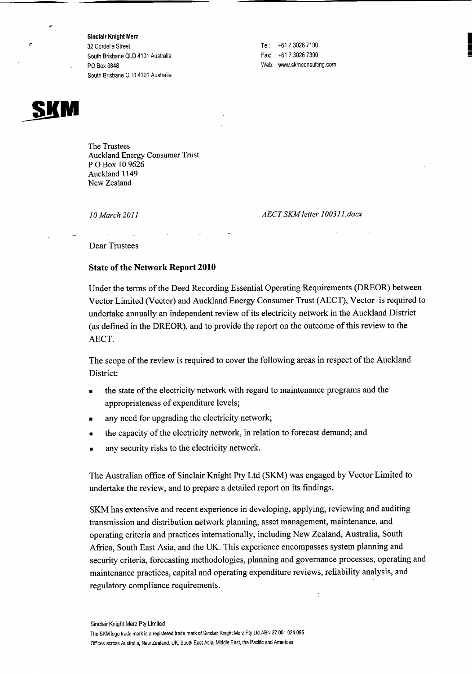Sinclair Knight Merz 32 Cordelia Street South Brisbane QLD 4101 Australia PO Box 3848 South Brisbane QLD 4101 Australia

Tel: +61 7 3026 7100 Fax: -+£ 1 7 3026 7300 Web: [www.skmconsulting.com](http://www.skmconsulting.com) I

• !!!!

×

The Trustees Auckland Energy Consumer Trust POBox 109626 Auckland 1149 New Zealand

*10 March 2011*

*AEeT SKM letter 100311.docx*

Dear Trustees

## State of the Network Report 2010

Under the terms of the Deed Recording Essential Operating Requirements (DREOR) between Vector Limited (Vector) and Auckland Energy Consumer Trust (AECT), Vector is required to undertake annually an independent review of its electricity network in the Auckland District (as defined in the DREOR), and to provide the report on the outcome of this review to the AECT.

The scope of the review is required to cover the following areas in respect of the Auckland District:

- the state of the electricity network with regard to maintenance programs and the appropriateness of expenditure levels;
- any need for upgrading the electricity network;
- the capacity of the electricity network, in relation to forecast demand; and
- any security risks to the electricity network.

The Australian office of Sinclair Knight Pty Ltd (SKM) was engaged by Vector Limited to undertake the review, and to prepare a detailed report on its findings.

SKM has extensive and recent experience in developing, applying, reviewing and auditing transmission and distribution network planning, asset management, maintenance, and operating criteria and practices internationally, including New Zealand, Australia, South Africa, South East Asia, and the UK. This experience encompasses system planning and security criteria, forecasting methodologies, planning and governance processes, operating and maintenance practices, capital and operating expenditure reviews, reliability analysis, and regulatory compliance requirements.

Sinclair Knight Merz Pty Limited

The SKM logo trade mark is a registered trade mark of Sinclair Knight Merz Pty Ltd,ABN 37001 024095 Offices across Australia, New Zealand, UK, South East Asia, Middle East, the Pacific and Americas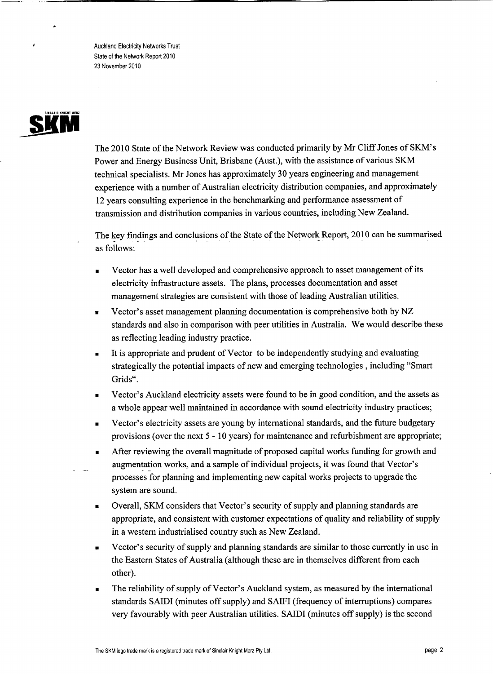Auckland Electricity Networks Trust State of the Network Report 2010 23 November 2010

## SIMCLAIR KHIGHT **SÜ**

The 2010 State of the Network Review was conducted primarily by Mr Cliff Jones of SKM's Power and Energy Business Unit, Brisbane (Aust.), with the assistance of various SKM technical specialists. Mr Jones has approximately 30 years engineering and management experience with a number of Australian electricity distribution companies, and approximately 12 years consulting experience in the benchmarking and performance assessment of transmission and distribution companies in various countries, including New Zealand.

The key findings and conclusions of the State of the Network Report, 2010 can be summarised as follows:

- Vector has a well developed and comprehensive approach to asset management of its electricity infrastructure assets. The plans, processes documentation and asset management strategies are consistent with those of leading Australian utilities.
- Vector's asset management planning documentation is comprehensive both by NZ standards and also in comparison with peer utilities in Australia. We would describe these as reflecting leading industry practice.
- It is appropriate and prudent of Vector to be independently studying and evaluating strategically the potential impacts of new and emerging technologies, including "Smart Grids".
- Vector's Auckland electricity assets were found to be in good condition, and the assets as a whole appear well maintained in accordance with sound electricity industry practices;
- Vector's electricity assets are young by international standards, and the future budgetary provisions (over the next 5 - 10 years) for maintenance and refurbishment are appropriate;
- After reviewing the overall magnitude of proposed capital works funding for growth and augmentation works, and a sample of individual projects, it was found that Vector's processes for planning and implementing new capital works projects to upgrade the system are sound.
- Overall, SKM considers that Vector's security of supply and planning standards are appropriate, and consistent with customer expectations of quality and reliability of supply in a western industrialised country such as New Zealand.
- Vector's security of supply and planning standards are similar to those currently in use in the Eastern States of Australia (although these are in themselves different from each other).
- The reliability of supply of Vector's Auckland system, as measured by the international standards SAIDI (minutes off supply) and SAIFI (frequency of interruptions) compares very favourably with peer Australian utilities. SAIDI (minutes off supply) is the second